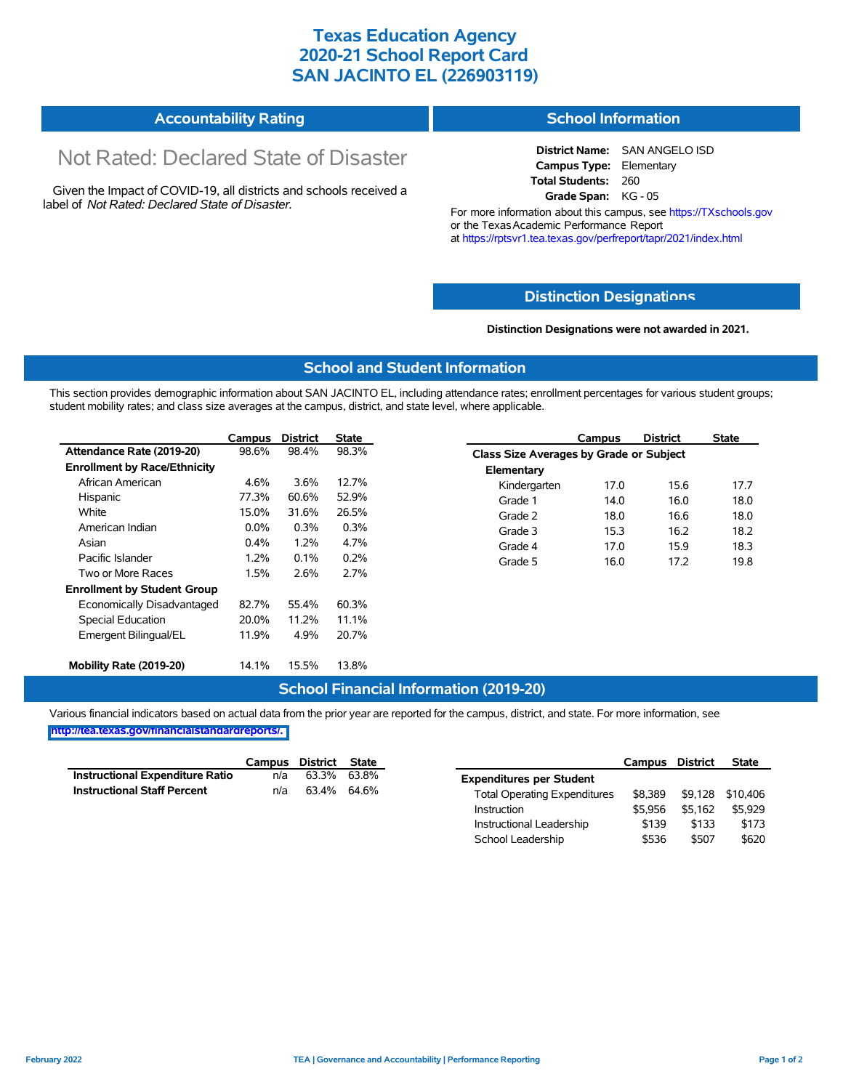# **Texas Education Agency 2020-21 School Report Card SAN JACINTO EL (226903119)**

#### **Accountability Rating School Information**

# Not Rated: Declared State of Disaster

Given the Impact of COVID-19, all districts and schools received a label of *Not Rated: Declared State of Disaster.*

**District Name:** SAN ANGELO ISD **Campus Type:** Elementary **Total Students:** 260 **Grade Span:** KG - 05

For more information about this campus, see https://TXschools.gov or the Texas Academic Performance Report at https://rptsvr1.tea.texas.gov/perfreport/tapr/2021/index.html

### **Distinction Designat[ions](https://TXschools.gov)**

**Distinction Designations were not awarded in 2021.**

School Leadership  $$536$  \$507 \$620

#### **School and Student Information**

This section provides demographic information about SAN JACINTO EL, including attendance rates; enrollment percentages for various student groups; student mobility rates; and class size averages at the campus, district, and state level, where applicable.

|                                     | Campus  | <b>District</b> | <b>State</b> |              | Campus                                  | <b>District</b> | <b>State</b> |  |  |
|-------------------------------------|---------|-----------------|--------------|--------------|-----------------------------------------|-----------------|--------------|--|--|
| Attendance Rate (2019-20)           | 98.6%   | 98.4%           | 98.3%        |              | Class Size Averages by Grade or Subject |                 |              |  |  |
| <b>Enrollment by Race/Ethnicity</b> |         |                 |              | Elementary   |                                         |                 |              |  |  |
| African American                    | 4.6%    | 3.6%            | 12.7%        | Kindergarten | 17.0                                    | 15.6            | 17.7         |  |  |
| Hispanic                            | 77.3%   | 60.6%           | 52.9%        | Grade 1      | 14.0                                    | 16.0            | 18.0         |  |  |
| White                               | 15.0%   | 31.6%           | 26.5%        | Grade 2      | 18.0                                    | 16.6            | 18.0         |  |  |
| American Indian                     | $0.0\%$ | 0.3%            | 0.3%         | Grade 3      | 15.3                                    | 16.2            | 18.2         |  |  |
| Asian                               | 0.4%    | 1.2%            | 4.7%         | Grade 4      | 17.0                                    | 15.9            | 18.3         |  |  |
| Pacific Islander                    | $1.2\%$ | 0.1%            | 0.2%         | Grade 5      | 16.0                                    | 17.2            | 19.8         |  |  |
| Two or More Races                   | 1.5%    | 2.6%            | 2.7%         |              |                                         |                 |              |  |  |
| <b>Enrollment by Student Group</b>  |         |                 |              |              |                                         |                 |              |  |  |
| Economically Disadvantaged          | 82.7%   | 55.4%           | 60.3%        |              |                                         |                 |              |  |  |
| Special Education                   | 20.0%   | 11.2%           | 11.1%        |              |                                         |                 |              |  |  |
| Emergent Bilingual/EL               | 11.9%   | 4.9%            | 20.7%        |              |                                         |                 |              |  |  |
|                                     |         |                 |              |              |                                         |                 |              |  |  |
| Mobility Rate (2019-20)             | 14.1%   | 15.5%           | 13.8%        |              |                                         |                 |              |  |  |

### **School Financial Information (2019-20)**

Various financial indicators based on actual data from the prior year are reported for the campus, district, and state. For more information, see

**[http://tea.texas.gov/financialstandardreports/.](http://tea.texas.gov/financialstandardreports/)**

|                                        | Campus | District | State       |                                     | Campus  | <b>District</b> | <b>State</b>     |
|----------------------------------------|--------|----------|-------------|-------------------------------------|---------|-----------------|------------------|
| <b>Instructional Expenditure Ratio</b> | n/a    | 63.3%    | 63.8%       | <b>Expenditures per Student</b>     |         |                 |                  |
| <b>Instructional Staff Percent</b>     | n/a    |          | 63.4% 64.6% | <b>Total Operating Expenditures</b> | \$8.389 |                 | \$9,128 \$10,406 |
|                                        |        |          |             | Instruction                         | \$5.956 | \$5.162         | \$5.929          |
|                                        |        |          |             | Instructional Leadership            | \$139   | \$133           | \$173            |